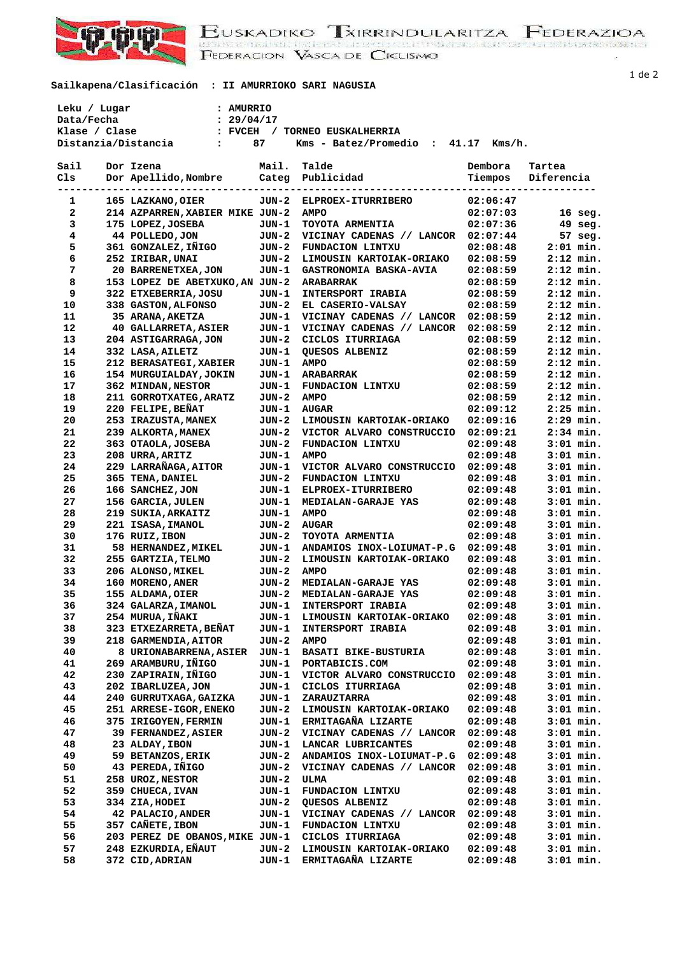

EUSKADIKO TXIRRINDULARITZA FEDERAZIOA<br>BEDERACION VASCA DE CICLISMO

**Sailkapena/Clasificación : II AMURRIOKO SARI NAGUSIA** 

 **Leku / Lugar : AMURRIO Data/Fecha : 29/04/17** 

| Klase / Clase | : FVCEH                                                |       | / TORNEO EUSKALHERRIA               |          |                                                      |
|---------------|--------------------------------------------------------|-------|-------------------------------------|----------|------------------------------------------------------|
|               | Distanzia/Distancia<br><b>Contract Contract Street</b> | 87    | Kms - Batez/Promedio : 41.17 Kms/h. |          |                                                      |
|               |                                                        |       |                                     |          |                                                      |
| Sail          | Dor Izena                                              | Mail. | Talde                               | Dembora  | Tartea                                               |
| Cls           | --- ------<br>Dor Apellido, Nombre Categ Publicidad    |       |                                     |          | Tiempos Diferencia<br>------------------------------ |
| -----         |                                                        |       |                                     |          |                                                      |
| 1             | 165 LAZKANO, OIER                                      |       | JUN-2 ELPROEX-ITURRIBERO            | 02:06:47 |                                                      |
| $\mathbf{2}$  | 214 AZPARREN, XABIER MIKE JUN-2                        |       | <b>AMPO</b>                         | 02:07:03 | $16$ seq.                                            |
| 3             | 175 LOPEZ, JOSEBA                                      | JUN-1 | TOYOTA ARMENTIA                     | 02:07:36 | 49 seg.                                              |
| 4             | 44 POLLEDO, JON                                        | JUN-2 | VICINAY CADENAS // LANCOR           | 02:07:44 | 57 seg.                                              |
| 5             | 361 GONZALEZ, IÑIGO                                    | JUN-2 | FUNDACION LINTXU                    | 02:08:48 | $2:01$ min.                                          |
| 6             | 252 IRIBAR, UNAI                                       | JUN-2 | LIMOUSIN KARTOIAK-ORIAKO            | 02:08:59 | $2:12$ min.                                          |
| 7             | 20 BARRENETXEA, JON                                    | JUN-1 | GASTRONOMIA BASKA-AVIA              | 02:08:59 | $2:12$ min.                                          |
| 8             | 153 LOPEZ DE ABETXUKO, AN JUN-2                        |       | <b>ARABARRAK</b>                    | 02:08:59 | $2:12$ min.                                          |
| 9             | 322 ETXEBERRIA, JOSU                                   | JUN-1 | <b>INTERSPORT IRABIA</b>            | 02:08:59 | $2:12$ min.                                          |
| 10            | 338 GASTON, ALFONSO                                    | JUN-2 | EL CASERIO-VALSAY                   | 02:08:59 | $2:12$ min.                                          |
| 11            | 35 ARANA, AKETZA                                       | JUN-1 | VICINAY CADENAS // LANCOR           | 02:08:59 | $2:12$ min.                                          |
| 12            | <b>40 GALLARRETA, ASIER</b>                            | JUN-1 | VICINAY CADENAS // LANCOR           | 02:08:59 | $2:12$ min.                                          |
| 13            | 204 ASTIGARRAGA, JON                                   | JUN-2 | CICLOS ITURRIAGA                    | 02:08:59 | $2:12$ min.                                          |
| 14            | 332 LASA, AILETZ                                       | JUN-1 | QUESOS ALBENIZ                      | 02:08:59 | $2:12$ min.                                          |
| 15            | 212 BERASATEGI, XABIER                                 | JUN-1 | <b>AMPO</b>                         | 02:08:59 | $2:12$ min.                                          |
| 16            | 154 MURGUIALDAY, JOKIN                                 | JUN-1 | <b>ARABARRAK</b>                    | 02:08:59 | $2:12$ min.                                          |
| 17            | 362 MINDAN, NESTOR                                     | JUN-1 | FUNDACION LINTXU                    | 02:08:59 | $2:12$ min.                                          |
| 18            | 211 GORROTXATEG, ARATZ                                 | JUN-2 | <b>AMPO</b>                         | 02:08:59 | $2:12$ min.                                          |
| 19            | 220 FELIPE, BEÑAT                                      | JUN-1 | <b>AUGAR</b>                        | 02:09:12 | $2:25$ min.                                          |
| 20            | 253 IRAZUSTA, MANEX                                    | JUN-2 | LIMOUSIN KARTOIAK-ORIAKO            | 02:09:16 | $2:29$ min.                                          |
| 21            | 239 ALKORTA, MANEX                                     | JUN-2 | VICTOR ALVARO CONSTRUCCIO           | 02:09:21 | $2:34$ min.                                          |
| 22            | 363 OTAOLA, JOSEBA                                     | JUN-2 | FUNDACION LINTXU                    | 02:09:48 | $3:01$ min.                                          |
| 23            | 208 URRA, ARITZ                                        | JUN-1 | <b>AMPO</b>                         | 02:09:48 | $3:01$ min.                                          |
| 24            | 229 LARRAÑAGA, AITOR                                   | JUN-1 | VICTOR ALVARO CONSTRUCCIO           | 02:09:48 | $3:01$ min.                                          |
| 25            | 365 TENA, DANIEL                                       | JUN-2 | FUNDACION LINTXU                    | 02:09:48 | $3:01$ min.                                          |
| 26            | 166 SANCHEZ, JON                                       | JUN-1 | <b>ELPROEX-ITURRIBERO</b>           | 02:09:48 | $3:01$ min.                                          |
| 27            | 156 GARCIA, JULEN                                      | JUN-1 | MEDIALAN-GARAJE YAS                 | 02:09:48 | $3:01$ min.                                          |
| 28            | 219 SUKIA, ARKAITZ                                     | JUN-1 | <b>AMPO</b>                         | 02:09:48 | $3:01$ min.                                          |
| 29            | 221 ISASA, IMANOL                                      | JUN-2 | <b>AUGAR</b>                        | 02:09:48 | $3:01$ min.                                          |
| 30            | 176 RUIZ, IBON                                         | JUN-2 | TOYOTA ARMENTIA                     | 02:09:48 | $3:01$ min.                                          |
| 31            | 58 HERNANDEZ, MIKEL                                    | JUN-1 | ANDAMIOS INOX-LOIUMAT-P.G           | 02:09:48 | $3:01$ min.                                          |
| 32            | 255 GARTZIA, TELMO                                     | JUN-2 | LIMOUSIN KARTOIAK-ORIAKO            | 02:09:48 | $3:01$ min.                                          |
| 33            | 206 ALONSO, MIKEL                                      | JUN-2 | <b>AMPO</b>                         | 02:09:48 | $3:01$ min.                                          |
| 34            | 160 MORENO, ANER                                       | JUN-2 | MEDIALAN-GARAJE YAS                 | 02:09:48 | $3:01$ min.                                          |
| 35            | 155 ALDAMA, OIER                                       | JUN-2 | MEDIALAN-GARAJE YAS                 | 02:09:48 | $3:01$ min.                                          |
| 36            | 324 GALARZA, IMANOL                                    | JUN-1 | <b>INTERSPORT IRABIA</b>            | 02:09:48 | $3:01$ min.                                          |
| 37            | 254 MURUA, IÑAKI                                       | JUN-1 | LIMOUSIN KARTOIAK-ORIAKO            | 02:09:48 | $3:01$ min.                                          |
| 38            | 323 ETXEZARRETA, BEÑAT                                 | JUN-1 | INTERSPORT IRABIA                   | 02:09:48 | $3:01$ min.                                          |
| 39            | 218 GARMENDIA, AITOR                                   | JUN-2 | <b>AMPO</b>                         | 02:09:48 | $3:01$ min.                                          |
| 40            | 8 URIONABARRENA, ASIER                                 | JUN-1 | <b>BASATI BIKE-BUSTURIA</b>         | 02:09:48 | $3:01$ min.                                          |
| 41            | 269 ARAMBURU, IÑIGO                                    | JUN-1 | PORTABICIS.COM                      | 02:09:48 | $3:01$ min.                                          |
| 42            | 230 ZAPIRAIN, IÑIGO                                    | JUN-1 | VICTOR ALVARO CONSTRUCCIO           | 02:09:48 | $3:01$ min.                                          |
| 43            | 202 IBARLUZEA, JON                                     | JUN-1 | CICLOS ITURRIAGA                    | 02:09:48 | $3:01$ min.                                          |
| 44            | 240 GURRUTXAGA, GAIZKA                                 | JUN-1 | ZARAUZTARRA                         | 02:09:48 | $3:01$ min.                                          |

 **45 251 ARRESE-IGOR,ENEKO JUN-2 LIMOUSIN KARTOIAK-ORIAKO 02:09:48 3:01 min. 46 375 IRIGOYEN,FERMIN JUN-1 ERMITAGAÑA LIZARTE 02:09:48 3:01 min. 47 39 FERNANDEZ,ASIER JUN-2 VICINAY CADENAS // LANCOR 02:09:48 3:01 min. 48 23 ALDAY,IBON JUN-1 LANCAR LUBRICANTES 02:09:48 3:01 min. 49 59 BETANZOS,ERIK JUN-2 ANDAMIOS INOX-LOIUMAT-P.G 02:09:48 3:01 min. 50 43 PEREDA,IÑIGO JUN-2 VICINAY CADENAS // LANCOR 02:09:48 3:01 min. 51 258 UROZ,NESTOR JUN-2 ULMA 02:09:48 3:01 min. 52 359 CHUECA,IVAN JUN-1 FUNDACION LINTXU 02:09:48 3:01 min. 53 334 ZIA,HODEI JUN-2 QUESOS ALBENIZ 02:09:48 3:01 min. 54 42 PALACIO,ANDER JUN-1 VICINAY CADENAS // LANCOR 02:09:48 3:01 min. 55 357 CAÑETE,IBON JUN-1 FUNDACION LINTXU 02:09:48 3:01 min. 56 203 PEREZ DE OBANOS,MIKE JUN-1 CICLOS ITURRIAGA 02:09:48 3:01 min. 57 248 EZKURDIA,EÑAUT JUN-2 LIMOUSIN KARTOIAK-ORIAKO 02:09:48 3:01 min. 58 372 CID,ADRIAN JUN-1 ERMITAGAÑA LIZARTE 02:09:48 3:01 min.** 

## 1 de 2